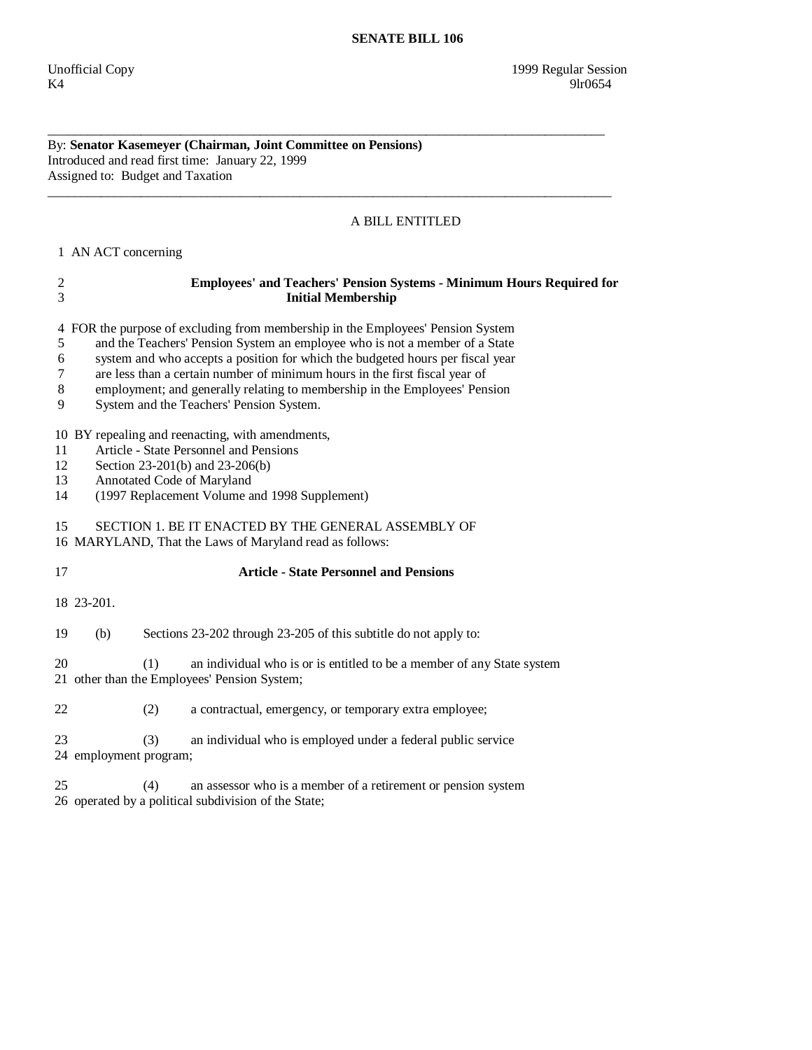By: **Senator Kasemeyer (Chairman, Joint Committee on Pensions)**  Introduced and read first time: January 22, 1999 Assigned to: Budget and Taxation

## A BILL ENTITLED

1 AN ACT concerning

| $\overline{c}$<br>3                       | <b>Employees' and Teachers' Pension Systems - Minimum Hours Required for</b><br><b>Initial Membership</b>                                                                                                                                                                                                                                                                                                                                               |
|-------------------------------------------|---------------------------------------------------------------------------------------------------------------------------------------------------------------------------------------------------------------------------------------------------------------------------------------------------------------------------------------------------------------------------------------------------------------------------------------------------------|
| 4<br>5<br>6<br>$\boldsymbol{7}$<br>8<br>9 | FOR the purpose of excluding from membership in the Employees' Pension System<br>and the Teachers' Pension System an employee who is not a member of a State<br>system and who accepts a position for which the budgeted hours per fiscal year<br>are less than a certain number of minimum hours in the first fiscal year of<br>employment; and generally relating to membership in the Employees' Pension<br>System and the Teachers' Pension System. |
| 11<br>12<br>13<br>14                      | 10 BY repealing and reenacting, with amendments,<br>Article - State Personnel and Pensions<br>Section 23-201(b) and 23-206(b)<br>Annotated Code of Maryland<br>(1997 Replacement Volume and 1998 Supplement)                                                                                                                                                                                                                                            |
| 15                                        | SECTION 1. BE IT ENACTED BY THE GENERAL ASSEMBLY OF<br>16 MARYLAND, That the Laws of Maryland read as follows:                                                                                                                                                                                                                                                                                                                                          |
| 17                                        | <b>Article - State Personnel and Pensions</b>                                                                                                                                                                                                                                                                                                                                                                                                           |
|                                           | 18 23-201.                                                                                                                                                                                                                                                                                                                                                                                                                                              |
| 19                                        | (b)<br>Sections 23-202 through 23-205 of this subtitle do not apply to:                                                                                                                                                                                                                                                                                                                                                                                 |
| 20                                        | (1)<br>an individual who is or is entitled to be a member of any State system<br>21 other than the Employees' Pension System;                                                                                                                                                                                                                                                                                                                           |
| 22                                        | a contractual, emergency, or temporary extra employee;<br>(2)                                                                                                                                                                                                                                                                                                                                                                                           |
| 23                                        | (3)<br>an individual who is employed under a federal public service<br>24 employment program;                                                                                                                                                                                                                                                                                                                                                           |
| 25                                        | an assessor who is a member of a retirement or pension system<br>(4)<br>26 operated by a political subdivision of the State;                                                                                                                                                                                                                                                                                                                            |

\_\_\_\_\_\_\_\_\_\_\_\_\_\_\_\_\_\_\_\_\_\_\_\_\_\_\_\_\_\_\_\_\_\_\_\_\_\_\_\_\_\_\_\_\_\_\_\_\_\_\_\_\_\_\_\_\_\_\_\_\_\_\_\_\_\_\_\_\_\_\_\_\_\_\_\_\_\_\_\_\_\_\_\_

\_\_\_\_\_\_\_\_\_\_\_\_\_\_\_\_\_\_\_\_\_\_\_\_\_\_\_\_\_\_\_\_\_\_\_\_\_\_\_\_\_\_\_\_\_\_\_\_\_\_\_\_\_\_\_\_\_\_\_\_\_\_\_\_\_\_\_\_\_\_\_\_\_\_\_\_\_\_\_\_\_\_\_\_\_